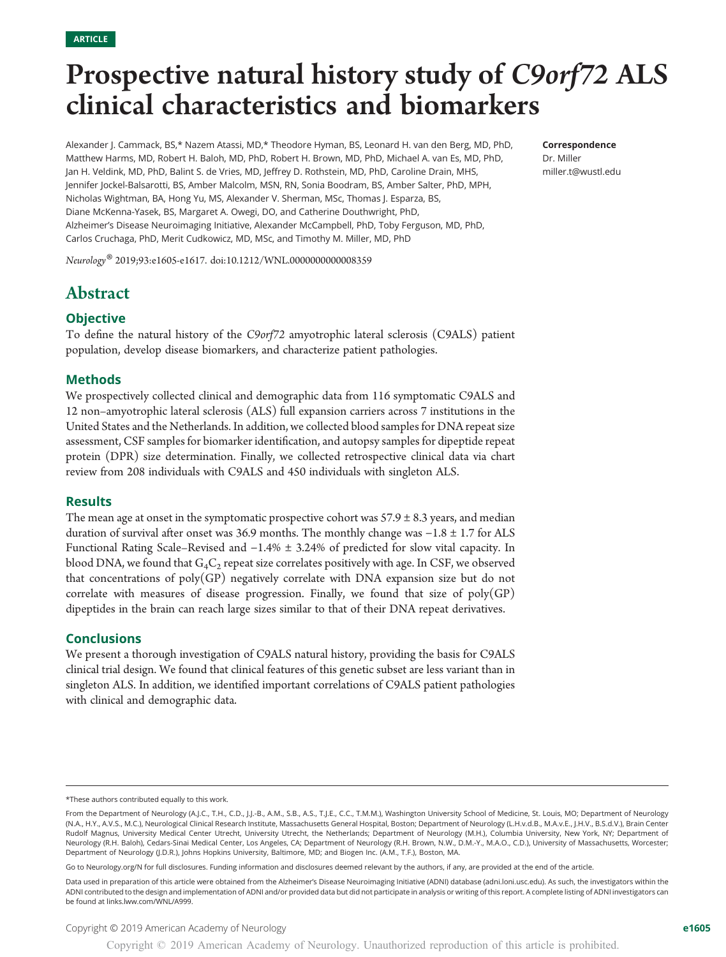# Prospective natural history study of C9orf72 ALS clinical characteristics and biomarkers

Alexander J. Cammack, BS,\* Nazem Atassi, MD,\* Theodore Hyman, BS, Leonard H. van den Berg, MD, PhD, Matthew Harms, MD, Robert H. Baloh, MD, PhD, Robert H. Brown, MD, PhD, Michael A. van Es, MD, PhD, Jan H. Veldink, MD, PhD, Balint S. de Vries, MD, Jeffrey D. Rothstein, MD, PhD, Caroline Drain, MHS, Jennifer Jockel-Balsarotti, BS, Amber Malcolm, MSN, RN, Sonia Boodram, BS, Amber Salter, PhD, MPH, Nicholas Wightman, BA, Hong Yu, MS, Alexander V. Sherman, MSc, Thomas J. Esparza, BS, Diane McKenna-Yasek, BS, Margaret A. Owegi, DO, and Catherine Douthwright, PhD, Alzheimer's Disease Neuroimaging Initiative, Alexander McCampbell, PhD, Toby Ferguson, MD, PhD, Carlos Cruchaga, PhD, Merit Cudkowicz, MD, MSc, and Timothy M. Miller, MD, PhD

Neurology® 2019;93:e1605-e1617. doi[:10.1212/WNL.0000000000008359](http://dx.doi.org/10.1212/WNL.0000000000008359)

# Abstract

## **Objective**

To define the natural history of the C9orf72 amyotrophic lateral sclerosis (C9ALS) patient population, develop disease biomarkers, and characterize patient pathologies.

#### Methods

We prospectively collected clinical and demographic data from 116 symptomatic C9ALS and 12 non–amyotrophic lateral sclerosis (ALS) full expansion carriers across 7 institutions in the United States and the Netherlands. In addition, we collected blood samples for DNA repeat size assessment, CSF samples for biomarker identification, and autopsy samples for dipeptide repeat protein (DPR) size determination. Finally, we collected retrospective clinical data via chart review from 208 individuals with C9ALS and 450 individuals with singleton ALS.

#### Results

The mean age at onset in the symptomatic prospective cohort was  $57.9 \pm 8.3$  years, and median duration of survival after onset was 36.9 months. The monthly change was −1.8 ± 1.7 for ALS Functional Rating Scale–Revised and −1.4% ± 3.24% of predicted for slow vital capacity. In blood DNA, we found that  $G_4C_2$  repeat size correlates positively with age. In CSF, we observed that concentrations of  $poly(GP)$  negatively correlate with DNA expansion size but do not correlate with measures of disease progression. Finally, we found that size of poly(GP) dipeptides in the brain can reach large sizes similar to that of their DNA repeat derivatives.

#### **Conclusions**

We present a thorough investigation of C9ALS natural history, providing the basis for C9ALS clinical trial design. We found that clinical features of this genetic subset are less variant than in singleton ALS. In addition, we identified important correlations of C9ALS patient pathologies with clinical and demographic data.

Go to [Neurology.org/N](https://n.neurology.org/lookup/doi/10.1212/WNL.0000000000008359) for full disclosures. Funding information and disclosures deemed relevant by the authors, if any, are provided at the end of the article.

Correspondence Dr. Miller [miller.t@wustl.edu](mailto:miller.t@wustl.edu)

<sup>\*</sup>These authors contributed equally to this work.

From the Department of Neurology (A.J.C., T.H., C.D., J.J.-B., A.M., S.B., A.S., T.J.E., C.C., T.M.M.), Washington University School of Medicine, St. Louis, MO; Department of Neurology (N.A., H.Y., A.V.S., M.C.), Neurological Clinical Research Institute, Massachusetts General Hospital, Boston; Department of Neurology (L.H.v.d.B., M.A.v.E., J.H.V., B.S.d.V.), Brain Center Rudolf Magnus, University Medical Center Utrecht, University Utrecht, the Netherlands; Department of Neurology (M.H.), Columbia University, New York, NY; Department of Neurology (R.H. Baloh), Cedars-Sinai Medical Center, Los Angeles, CA; Department of Neurology (R.H. Brown, N.W., D.M.-Y., M.A.O., C.D.), University of Massachusetts, Worcester; Department of Neurology (J.D.R.), Johns Hopkins University, Baltimore, MD; and Biogen Inc. (A.M., T.F.), Boston, MA.

Data used in preparation of this article were obtained from the Alzheimer's Disease Neuroimaging Initiative (ADNI) database [\(adni.loni.usc.edu\)](http://adni.loni.usc.edu). As such, the investigators within the ADNI contributed to the design and implementation of ADNI and/or provided data but did not participate in analysis or writing of this report. A complete listing of ADNI investigators can be found at [links.lww.com/WNL/A999.](http://links.lww.com/WNL/A999)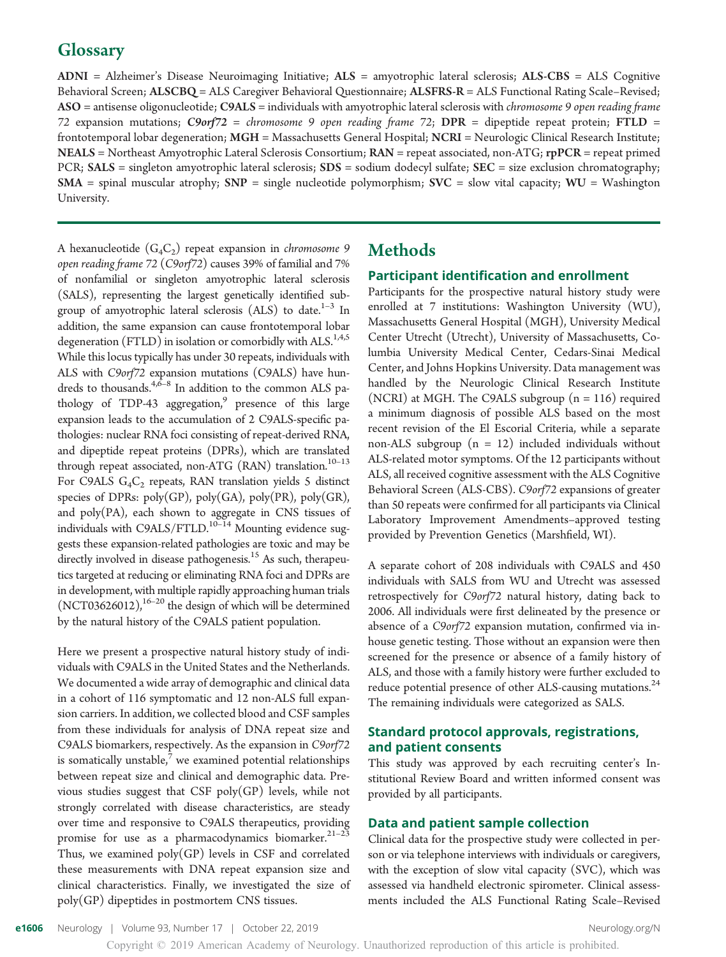# **Glossary**

ADNI = Alzheimer's Disease Neuroimaging Initiative; ALS = amyotrophic lateral sclerosis; ALS-CBS = ALS Cognitive Behavioral Screen; ALSCBQ = ALS Caregiver Behavioral Questionnaire; ALSFRS-R = ALS Functional Rating Scale–Revised; ASO = antisense oligonucleotide; C9ALS = individuals with amyotrophic lateral sclerosis with *chromosome* 9 open reading frame 72 expansion mutations; C9orf72 = chromosome 9 open reading frame 72; DPR = dipeptide repeat protein; FTLD = frontotemporal lobar degeneration; MGH = Massachusetts General Hospital; NCRI = Neurologic Clinical Research Institute; NEALS = Northeast Amyotrophic Lateral Sclerosis Consortium; RAN = repeat associated, non-ATG; rpPCR = repeat primed PCR;  $SALS$  = singleton amyotrophic lateral sclerosis;  $SDS$  = sodium dodecyl sulfate;  $SEC$  = size exclusion chromatography;  $SMA$  = spinal muscular atrophy;  $SNP$  = single nucleotide polymorphism;  $SVC$  = slow vital capacity;  $WU$  = Washington University.

A hexanucleotide  $(G_4C_2)$  repeat expansion in *chromosome* 9 open reading frame 72 (C9orf72) causes 39% of familial and 7% of nonfamilial or singleton amyotrophic lateral sclerosis (SALS), representing the largest genetically identified subgroup of amyotrophic lateral sclerosis (ALS) to date.<sup>1-3</sup> In addition, the same expansion can cause frontotemporal lobar degeneration (FTLD) in isolation or comorbidly with ALS.<sup>1,4,5</sup> While this locus typically has under 30 repeats, individuals with ALS with C9orf72 expansion mutations (C9ALS) have hundreds to thousands. $4,6-8$  In addition to the common ALS pathology of TDP-43 aggregation,<sup>9</sup> presence of this large expansion leads to the accumulation of 2 C9ALS-specific pathologies: nuclear RNA foci consisting of repeat-derived RNA, and dipeptide repeat proteins (DPRs), which are translated through repeat associated, non-ATG (RAN) translation. $^{10-13}$ For C9ALS  $G_4C_2$  repeats, RAN translation yields 5 distinct species of DPRs:  $poly(GP)$ ,  $poly(GA)$ ,  $poly(PR)$ ,  $poly(GR)$ , and poly(PA), each shown to aggregate in CNS tissues of individuals with C9ALS/FTLD.<sup>10-14</sup> Mounting evidence suggests these expansion-related pathologies are toxic and may be directly involved in disease pathogenesis.<sup>15</sup> As such, therapeutics targeted at reducing or eliminating RNA foci and DPRs are in development, with multiple rapidly approaching human trials  $(NCT03626012)$ ,<sup>16–20</sup> the design of which will be determined by the natural history of the C9ALS patient population.

Here we present a prospective natural history study of individuals with C9ALS in the United States and the Netherlands. We documented a wide array of demographic and clinical data in a cohort of 116 symptomatic and 12 non-ALS full expansion carriers. In addition, we collected blood and CSF samples from these individuals for analysis of DNA repeat size and C9ALS biomarkers, respectively. As the expansion in C9orf72 is somatically unstable, $\prime$  we examined potential relationships between repeat size and clinical and demographic data. Previous studies suggest that CSF poly(GP) levels, while not strongly correlated with disease characteristics, are steady over time and responsive to C9ALS therapeutics, providing promise for use as a pharmacodynamics biomarker. $21-23$ Thus, we examined  $poly(GP)$  levels in CSF and correlated these measurements with DNA repeat expansion size and clinical characteristics. Finally, we investigated the size of poly(GP) dipeptides in postmortem CNS tissues.

## Methods

#### Participant identification and enrollment

Participants for the prospective natural history study were enrolled at 7 institutions: Washington University (WU), Massachusetts General Hospital (MGH), University Medical Center Utrecht (Utrecht), University of Massachusetts, Columbia University Medical Center, Cedars-Sinai Medical Center, and Johns Hopkins University. Data management was handled by the Neurologic Clinical Research Institute (NCRI) at MGH. The C9ALS subgroup  $(n = 116)$  required a minimum diagnosis of possible ALS based on the most recent revision of the El Escorial Criteria, while a separate non-ALS subgroup  $(n = 12)$  included individuals without ALS-related motor symptoms. Of the 12 participants without ALS, all received cognitive assessment with the ALS Cognitive Behavioral Screen (ALS-CBS). C9orf72 expansions of greater than 50 repeats were confirmed for all participants via Clinical Laboratory Improvement Amendments–approved testing provided by Prevention Genetics (Marshfield, WI).

A separate cohort of 208 individuals with C9ALS and 450 individuals with SALS from WU and Utrecht was assessed retrospectively for C9orf72 natural history, dating back to 2006. All individuals were first delineated by the presence or absence of a C9orf72 expansion mutation, confirmed via inhouse genetic testing. Those without an expansion were then screened for the presence or absence of a family history of ALS, and those with a family history were further excluded to reduce potential presence of other ALS-causing mutations.<sup>24</sup> The remaining individuals were categorized as SALS.

## Standard protocol approvals, registrations, and patient consents

This study was approved by each recruiting center's Institutional Review Board and written informed consent was provided by all participants.

## Data and patient sample collection

Clinical data for the prospective study were collected in person or via telephone interviews with individuals or caregivers, with the exception of slow vital capacity (SVC), which was assessed via handheld electronic spirometer. Clinical assessments included the ALS Functional Rating Scale–Revised

e1606 Neurology | Volume 93, Number 17 | October 22, 2019 [Neurology.org/N](http://neurology.org/n) Neurology.org/N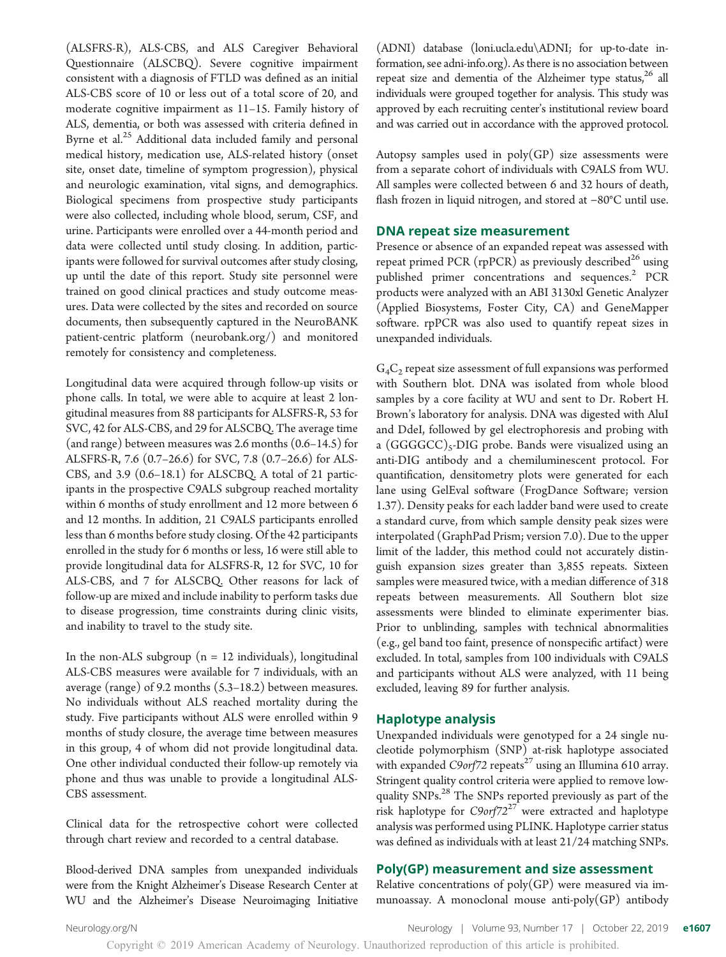(ALSFRS-R), ALS-CBS, and ALS Caregiver Behavioral Questionnaire (ALSCBQ). Severe cognitive impairment consistent with a diagnosis of FTLD was defined as an initial ALS-CBS score of 10 or less out of a total score of 20, and moderate cognitive impairment as 11–15. Family history of ALS, dementia, or both was assessed with criteria defined in Byrne et al.<sup>25</sup> Additional data included family and personal medical history, medication use, ALS-related history (onset site, onset date, timeline of symptom progression), physical and neurologic examination, vital signs, and demographics. Biological specimens from prospective study participants were also collected, including whole blood, serum, CSF, and urine. Participants were enrolled over a 44-month period and data were collected until study closing. In addition, participants were followed for survival outcomes after study closing, up until the date of this report. Study site personnel were trained on good clinical practices and study outcome measures. Data were collected by the sites and recorded on source documents, then subsequently captured in the NeuroBANK patient-centric platform ([neurobank.org/\)](http://neurobank.org/) and monitored remotely for consistency and completeness.

Longitudinal data were acquired through follow-up visits or phone calls. In total, we were able to acquire at least 2 longitudinal measures from 88 participants for ALSFRS-R, 53 for SVC, 42 for ALS-CBS, and 29 for ALSCBQ. The average time (and range) between measures was 2.6 months (0.6–14.5) for ALSFRS-R, 7.6 (0.7–26.6) for SVC, 7.8 (0.7–26.6) for ALS-CBS, and 3.9 (0.6–18.1) for ALSCBQ. A total of 21 participants in the prospective C9ALS subgroup reached mortality within 6 months of study enrollment and 12 more between 6 and 12 months. In addition, 21 C9ALS participants enrolled less than 6 months before study closing. Of the 42 participants enrolled in the study for 6 months or less, 16 were still able to provide longitudinal data for ALSFRS-R, 12 for SVC, 10 for ALS-CBS, and 7 for ALSCBQ. Other reasons for lack of follow-up are mixed and include inability to perform tasks due to disease progression, time constraints during clinic visits, and inability to travel to the study site.

In the non-ALS subgroup  $(n = 12 \text{ individuals})$ , longitudinal ALS-CBS measures were available for 7 individuals, with an average (range) of 9.2 months (5.3–18.2) between measures. No individuals without ALS reached mortality during the study. Five participants without ALS were enrolled within 9 months of study closure, the average time between measures in this group, 4 of whom did not provide longitudinal data. One other individual conducted their follow-up remotely via phone and thus was unable to provide a longitudinal ALS-CBS assessment.

Clinical data for the retrospective cohort were collected through chart review and recorded to a central database.

Blood-derived DNA samples from unexpanded individuals were from the Knight Alzheimer's Disease Research Center at WU and the Alzheimer's Disease Neuroimaging Initiative

(ADNI) database ([loni.ucla.edu\ADNI](http://www.loni.ucla.edu/ADNI); for up-to-date information, see [adni-info.org\)](http://www.adni-info.org/). As there is no association between repeat size and dementia of the Alzheimer type status, $26$  all individuals were grouped together for analysis. This study was approved by each recruiting center's institutional review board and was carried out in accordance with the approved protocol.

Autopsy samples used in  $poly(GP)$  size assessments were from a separate cohort of individuals with C9ALS from WU. All samples were collected between 6 and 32 hours of death, flash frozen in liquid nitrogen, and stored at −80°C until use.

#### DNA repeat size measurement

Presence or absence of an expanded repeat was assessed with repeat primed PCR (rpPCR) as previously described<sup>26</sup> using published primer concentrations and sequences.<sup>2</sup> PCR products were analyzed with an ABI 3130xl Genetic Analyzer (Applied Biosystems, Foster City, CA) and GeneMapper software. rpPCR was also used to quantify repeat sizes in unexpanded individuals.

 $G_4C_2$  repeat size assessment of full expansions was performed with Southern blot. DNA was isolated from whole blood samples by a core facility at WU and sent to Dr. Robert H. Brown's laboratory for analysis. DNA was digested with AluI and DdeI, followed by gel electrophoresis and probing with a  $(GGGGCC)_{5}$ -DIG probe. Bands were visualized using an anti-DIG antibody and a chemiluminescent protocol. For quantification, densitometry plots were generated for each lane using GelEval software (FrogDance Software; version 1.37). Density peaks for each ladder band were used to create a standard curve, from which sample density peak sizes were interpolated (GraphPad Prism; version 7.0). Due to the upper limit of the ladder, this method could not accurately distinguish expansion sizes greater than 3,855 repeats. Sixteen samples were measured twice, with a median difference of 318 repeats between measurements. All Southern blot size assessments were blinded to eliminate experimenter bias. Prior to unblinding, samples with technical abnormalities (e.g., gel band too faint, presence of nonspecific artifact) were excluded. In total, samples from 100 individuals with C9ALS and participants without ALS were analyzed, with 11 being excluded, leaving 89 for further analysis.

#### Haplotype analysis

Unexpanded individuals were genotyped for a 24 single nucleotide polymorphism (SNP) at-risk haplotype associated with expanded  $C9$ orf72 repeats<sup>27</sup> using an Illumina 610 array. Stringent quality control criteria were applied to remove lowquality SNPs.<sup>28</sup> The SNPs reported previously as part of the risk haplotype for  $C9$ orf $72^{27}$  were extracted and haplotype analysis was performed using PLINK. Haplotype carrier status was defined as individuals with at least 21/24 matching SNPs.

#### Poly(GP) measurement and size assessment

Relative concentrations of  $poly(GP)$  were measured via immunoassay. A monoclonal mouse anti-poly(GP) antibody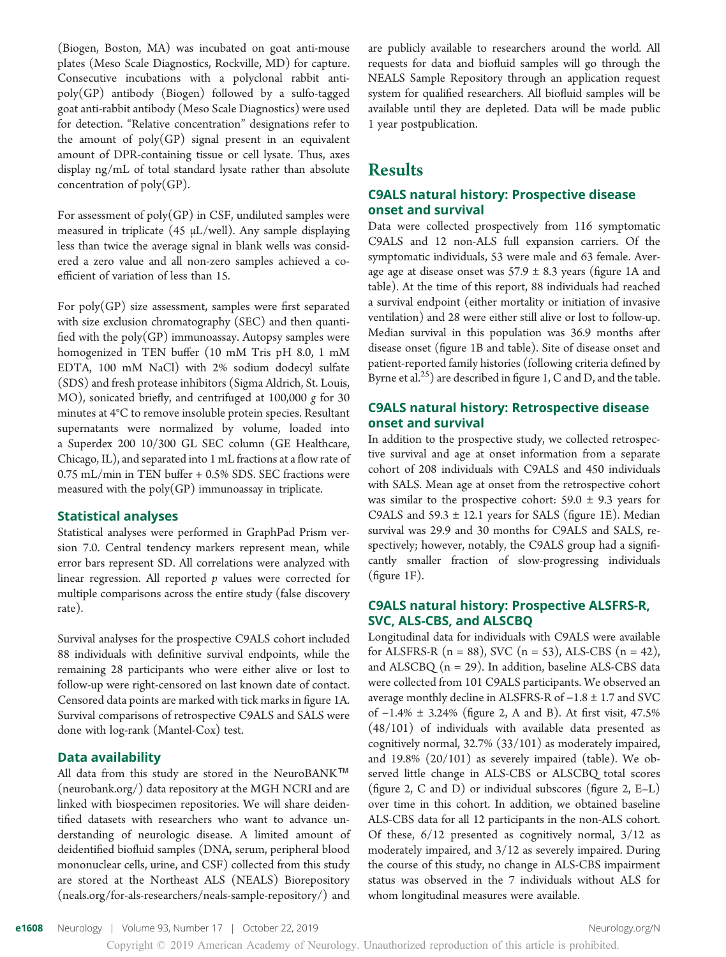(Biogen, Boston, MA) was incubated on goat anti-mouse plates (Meso Scale Diagnostics, Rockville, MD) for capture. Consecutive incubations with a polyclonal rabbit antipoly(GP) antibody (Biogen) followed by a sulfo-tagged goat anti-rabbit antibody (Meso Scale Diagnostics) were used for detection. "Relative concentration" designations refer to the amount of  $poly(GP)$  signal present in an equivalent amount of DPR-containing tissue or cell lysate. Thus, axes display ng/mL of total standard lysate rather than absolute concentration of poly(GP).

For assessment of  $poly(GP)$  in CSF, undiluted samples were measured in triplicate (45 μL/well). Any sample displaying less than twice the average signal in blank wells was considered a zero value and all non-zero samples achieved a coefficient of variation of less than 15.

For  $poly(GP)$  size assessment, samples were first separated with size exclusion chromatography (SEC) and then quantified with the  $poly(GP)$  immunoassay. Autopsy samples were homogenized in TEN buffer (10 mM Tris pH 8.0, 1 mM EDTA, 100 mM NaCl) with 2% sodium dodecyl sulfate (SDS) and fresh protease inhibitors (Sigma Aldrich, St. Louis, MO), sonicated briefly, and centrifuged at 100,000 g for 30 minutes at 4°C to remove insoluble protein species. Resultant supernatants were normalized by volume, loaded into a Superdex 200 10/300 GL SEC column (GE Healthcare, Chicago, IL), and separated into 1 mL fractions at a flow rate of 0.75 mL/min in TEN buffer + 0.5% SDS. SEC fractions were measured with the poly(GP) immunoassay in triplicate.

#### Statistical analyses

Statistical analyses were performed in GraphPad Prism version 7.0. Central tendency markers represent mean, while error bars represent SD. All correlations were analyzed with linear regression. All reported  $p$  values were corrected for multiple comparisons across the entire study (false discovery rate).

Survival analyses for the prospective C9ALS cohort included 88 individuals with definitive survival endpoints, while the remaining 28 participants who were either alive or lost to follow-up were right-censored on last known date of contact. Censored data points are marked with tick marks in figure 1A. Survival comparisons of retrospective C9ALS and SALS were done with log-rank (Mantel-Cox) test.

#### Data availability

All data from this study are stored in the NeuroBANK™ [\(neurobank.org/](http://neurobank.org/)) data repository at the MGH NCRI and are linked with biospecimen repositories. We will share deidentified datasets with researchers who want to advance understanding of neurologic disease. A limited amount of deidentified biofluid samples (DNA, serum, peripheral blood mononuclear cells, urine, and CSF) collected from this study are stored at the Northeast ALS (NEALS) Biorepository [\(neals.org/for-als-researchers/neals-sample-repository/\)](https://www.neals.org/for-als-researchers/neals-sample-repository/) and

are publicly available to researchers around the world. All requests for data and biofluid samples will go through the NEALS Sample Repository through an application request system for qualified researchers. All biofluid samples will be available until they are depleted. Data will be made public 1 year postpublication.

## Results

#### C9ALS natural history: Prospective disease onset and survival

Data were collected prospectively from 116 symptomatic C9ALS and 12 non-ALS full expansion carriers. Of the symptomatic individuals, 53 were male and 63 female. Average age at disease onset was  $57.9 \pm 8.3$  years (figure 1A and table). At the time of this report, 88 individuals had reached a survival endpoint (either mortality or initiation of invasive ventilation) and 28 were either still alive or lost to follow-up. Median survival in this population was 36.9 months after disease onset (figure 1B and table). Site of disease onset and patient-reported family histories (following criteria defined by Byrne et al.<sup>25</sup>) are described in figure 1, C and D, and the table.

## C9ALS natural history: Retrospective disease onset and survival

In addition to the prospective study, we collected retrospective survival and age at onset information from a separate cohort of 208 individuals with C9ALS and 450 individuals with SALS. Mean age at onset from the retrospective cohort was similar to the prospective cohort:  $59.0 \pm 9.3$  years for C9ALS and  $59.3 \pm 12.1$  years for SALS (figure 1E). Median survival was 29.9 and 30 months for C9ALS and SALS, respectively; however, notably, the C9ALS group had a significantly smaller fraction of slow-progressing individuals (figure 1F).

#### C9ALS natural history: Prospective ALSFRS-R, SVC, ALS-CBS, and ALSCBQ

Longitudinal data for individuals with C9ALS were available for ALSFRS-R ( $n = 88$ ), SVC ( $n = 53$ ), ALS-CBS ( $n = 42$ ), and  $ALSCBQ$  (n = 29). In addition, baseline ALS-CBS data were collected from 101 C9ALS participants. We observed an average monthly decline in ALSFRS-R of −1.8 ± 1.7 and SVC of −1.4% ± 3.24% (figure 2, A and B). At first visit, 47.5% (48/101) of individuals with available data presented as cognitively normal, 32.7% (33/101) as moderately impaired, and 19.8% (20/101) as severely impaired (table). We observed little change in ALS-CBS or ALSCBQ total scores (figure 2, C and D) or individual subscores (figure 2, E–L) over time in this cohort. In addition, we obtained baseline ALS-CBS data for all 12 participants in the non-ALS cohort. Of these, 6/12 presented as cognitively normal, 3/12 as moderately impaired, and 3/12 as severely impaired. During the course of this study, no change in ALS-CBS impairment status was observed in the 7 individuals without ALS for whom longitudinal measures were available.

e1608 Neurology | Volume 93, Number 17 | October 22, 2019 [Neurology.org/N](http://neurology.org/n) Neurology.org/N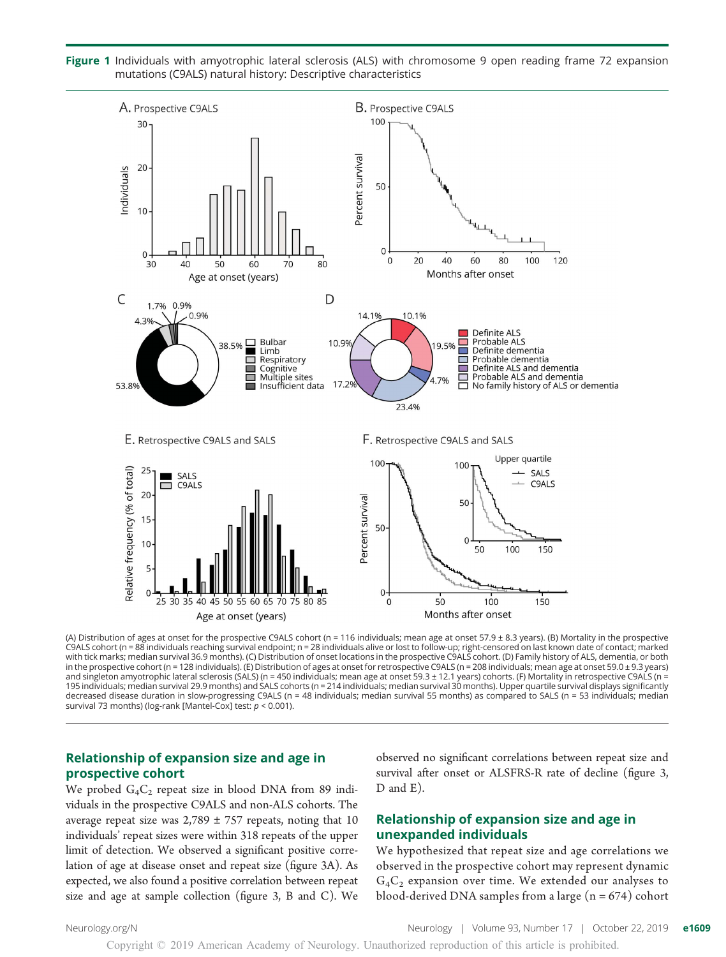Figure 1 Individuals with amyotrophic lateral sclerosis (ALS) with chromosome 9 open reading frame 72 expansion mutations (C9ALS) natural history: Descriptive characteristics



(A) Distribution of ages at onset for the prospective C9ALS cohort (n = 116 individuals; mean age at onset 57.9 ± 8.3 years). (B) Mortality in the prospective C9ALS cohort (n = 88 individuals reaching survival endpoint; n = 28 individuals alive or lost to follow-up; right-censored on last known date of contact; marked<br>with tick marks; median survival 36.9 months). (C) Distributi in the prospective cohort (n = 128 individuals). (E) Distribution of ages at onset for retrospective C9ALS (n = 208 individuals; mean age at onset 59.0 ± 9.3 years) and singleton amyotrophic lateral sclerosis (SALS) (n = 450 individuals; mean age at onset 59.3 ± 12.1 years) cohorts. (F) Mortality in retrospective C9ALS (n = 195 individuals; median survival 29.9 months) and SALS cohorts (n = 214 individuals; median survival 30 months). Upper quartile survival displays significantly decreased disease duration in slow-progressing C9ALS (n = 48 individuals; median survival 55 months) as compared to SALS (n = 53 individuals; median survival 73 months) (log-rank [Mantel-Cox] test:  $p < 0.001$ ).

#### Relationship of expansion size and age in prospective cohort

We probed  $G_4C_2$  repeat size in blood DNA from 89 individuals in the prospective C9ALS and non-ALS cohorts. The average repeat size was  $2,789 \pm 757$  repeats, noting that 10 individuals' repeat sizes were within 318 repeats of the upper limit of detection. We observed a significant positive correlation of age at disease onset and repeat size (figure 3A). As expected, we also found a positive correlation between repeat size and age at sample collection (figure 3, B and C). We

observed no significant correlations between repeat size and survival after onset or ALSFRS-R rate of decline (figure 3, D and E).

#### Relationship of expansion size and age in unexpanded individuals

We hypothesized that repeat size and age correlations we observed in the prospective cohort may represent dynamic  $G_4C_2$  expansion over time. We extended our analyses to blood-derived DNA samples from a large  $(n = 674)$  cohort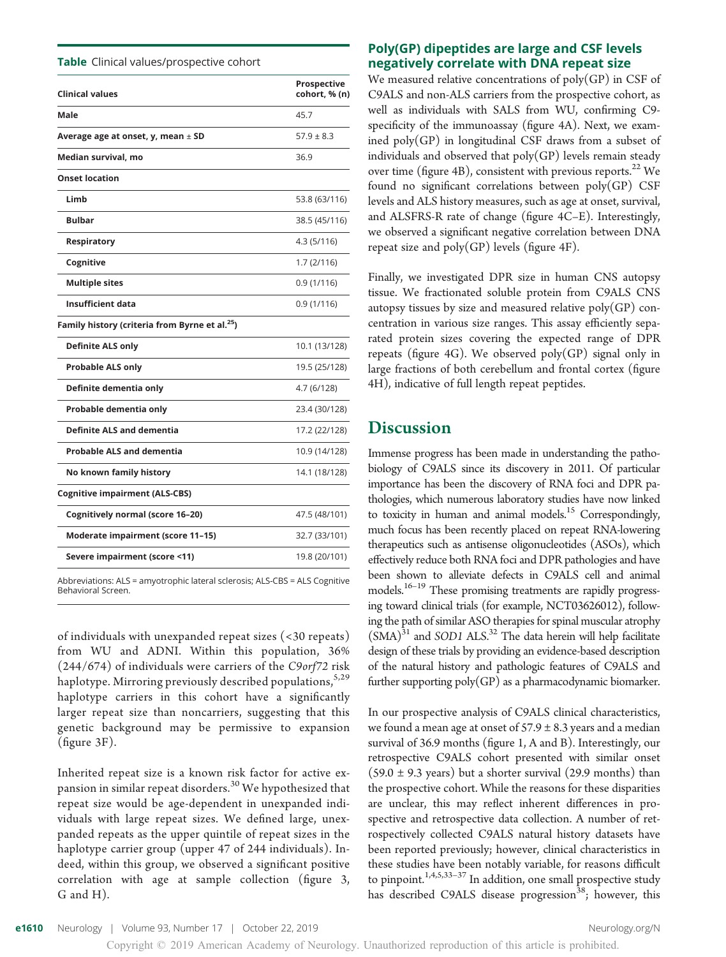Table Clinical values/prospective cohort

| <b>Clinical values</b>                                     | Prospective<br>cohort, % (n) |
|------------------------------------------------------------|------------------------------|
|                                                            |                              |
| Male                                                       | 45.7                         |
| Average age at onset, y, mean $\pm$ SD                     | $57.9 \pm 8.3$               |
| Median survival, mo                                        | 36.9                         |
| <b>Onset location</b>                                      |                              |
| Limb                                                       | 53.8 (63/116)                |
| <b>Bulbar</b>                                              | 38.5 (45/116)                |
| Respiratory                                                | 4.3 (5/116)                  |
| Cognitive                                                  | 1.7 (2/116)                  |
| <b>Multiple sites</b>                                      | 0.9(1/116)                   |
| <b>Insufficient data</b>                                   | 0.9(1/116)                   |
| Family history (criteria from Byrne et al. <sup>25</sup> ) |                              |
| <b>Definite ALS only</b>                                   | 10.1 (13/128)                |
| <b>Probable ALS only</b>                                   | 19.5 (25/128)                |
| Definite dementia only                                     | 4.7 (6/128)                  |
| Probable dementia only                                     | 23.4 (30/128)                |
| <b>Definite ALS and dementia</b>                           | 17.2 (22/128)                |
| <b>Probable ALS and dementia</b>                           | 10.9 (14/128)                |
| No known family history                                    | 14.1 (18/128)                |
| <b>Cognitive impairment (ALS-CBS)</b>                      |                              |
| Cognitively normal (score 16-20)                           | 47.5 (48/101)                |
| Moderate impairment (score 11-15)                          | 32.7 (33/101)                |
| Severe impairment (score <11)                              | 19.8 (20/101)                |

Abbreviations: ALS = amyotrophic lateral sclerosis; ALS-CBS = ALS Cognitive Behavioral Screen.

of individuals with unexpanded repeat sizes (<30 repeats) from WU and ADNI. Within this population, 36% (244/674) of individuals were carriers of the C9orf72 risk haplotype. Mirroring previously described populations,  $^{5,29}$ haplotype carriers in this cohort have a significantly larger repeat size than noncarriers, suggesting that this genetic background may be permissive to expansion (figure 3F).

Inherited repeat size is a known risk factor for active expansion in similar repeat disorders.<sup>30</sup> We hypothesized that repeat size would be age-dependent in unexpanded individuals with large repeat sizes. We defined large, unexpanded repeats as the upper quintile of repeat sizes in the haplotype carrier group (upper 47 of 244 individuals). Indeed, within this group, we observed a significant positive correlation with age at sample collection (figure 3, G and H).

#### Poly(GP) dipeptides are large and CSF levels negatively correlate with DNA repeat size

We measured relative concentrations of  $poly(GP)$  in CSF of C9ALS and non-ALS carriers from the prospective cohort, as well as individuals with SALS from WU, confirming C9 specificity of the immunoassay (figure 4A). Next, we examined poly(GP) in longitudinal CSF draws from a subset of individuals and observed that  $poly(GP)$  levels remain steady over time (figure 4B), consistent with previous reports.<sup>22</sup> We found no significant correlations between poly(GP) CSF levels and ALS history measures, such as age at onset, survival, and ALSFRS-R rate of change (figure 4C–E). Interestingly, we observed a significant negative correlation between DNA repeat size and  $poly(GP)$  levels (figure 4F).

Finally, we investigated DPR size in human CNS autopsy tissue. We fractionated soluble protein from C9ALS CNS autopsy tissues by size and measured relative  $poly(GP)$  concentration in various size ranges. This assay efficiently separated protein sizes covering the expected range of DPR repeats (figure 4G). We observed  $poly(GP)$  signal only in large fractions of both cerebellum and frontal cortex (figure 4H), indicative of full length repeat peptides.

## **Discussion**

Immense progress has been made in understanding the pathobiology of C9ALS since its discovery in 2011. Of particular importance has been the discovery of RNA foci and DPR pathologies, which numerous laboratory studies have now linked to toxicity in human and animal models.<sup>15</sup> Correspondingly, much focus has been recently placed on repeat RNA-lowering therapeutics such as antisense oligonucleotides (ASOs), which effectively reduce both RNA foci and DPR pathologies and have been shown to alleviate defects in C9ALS cell and animal models.<sup>16–19</sup> These promising treatments are rapidly progressing toward clinical trials (for example, NCT03626012), following the path of similar ASO therapies for spinal muscular atrophy  $(SMA)^{31}$  and SOD1 ALS.<sup>32</sup> The data herein will help facilitate design of these trials by providing an evidence-based description of the natural history and pathologic features of C9ALS and further supporting poly(GP) as a pharmacodynamic biomarker.

In our prospective analysis of C9ALS clinical characteristics, we found a mean age at onset of  $57.9 \pm 8.3$  years and a median survival of 36.9 months (figure 1, A and B). Interestingly, our retrospective C9ALS cohort presented with similar onset  $(59.0 \pm 9.3 \text{ years})$  but a shorter survival  $(29.9 \text{ months})$  than the prospective cohort. While the reasons for these disparities are unclear, this may reflect inherent differences in prospective and retrospective data collection. A number of retrospectively collected C9ALS natural history datasets have been reported previously; however, clinical characteristics in these studies have been notably variable, for reasons difficult to pinpoint.<sup>1,4,5,33–37</sup> In addition, one small prospective study has described C9ALS disease progression<sup>38</sup>; however, this

e1610 Neurology | Volume 93, Number 17 | October 22, 2019 [Neurology.org/N](http://neurology.org/n) Neurology.org/N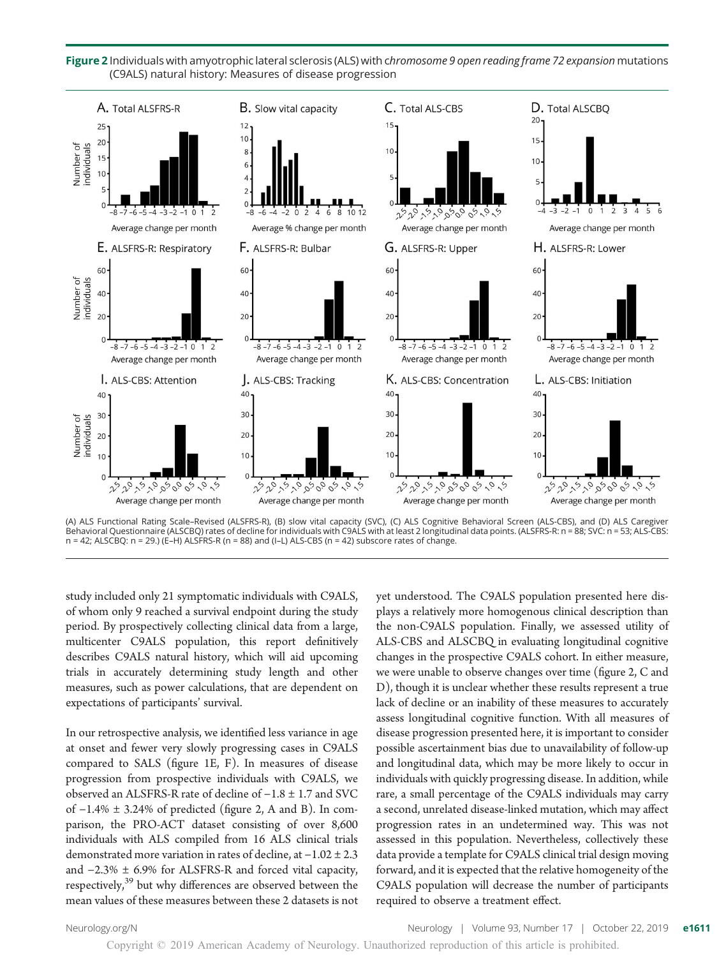

Figure 2 Individuals with amyotrophic lateral sclerosis (ALS) with chromosome 9 open reading frame 72 expansion mutations (C9ALS) natural history: Measures of disease progression

(A) ALS Functional Rating Scale–Revised (ALSFRS-R), (B) slow vital capacity (SVC), (C) ALS Cognitive Behavioral Screen (ALS-CBS), and (D) ALS Caregiver Behavioral Questionnaire (ALSCBQ) rates of decline for individuals with C9ALS with at least 2 longitudinal data points. (ALSFRS-R: n = 88; SVC: n = 53; ALS-CBS:  $n = 42$ ; ALSCBQ:  $n = 29$ .) (E-H) ALSFRS-R ( $n = 88$ ) and (I-L) ALS-CBS ( $n = 42$ ) subscore rates of change.

study included only 21 symptomatic individuals with C9ALS, of whom only 9 reached a survival endpoint during the study period. By prospectively collecting clinical data from a large, multicenter C9ALS population, this report definitively describes C9ALS natural history, which will aid upcoming trials in accurately determining study length and other measures, such as power calculations, that are dependent on expectations of participants' survival.

In our retrospective analysis, we identified less variance in age at onset and fewer very slowly progressing cases in C9ALS compared to SALS (figure 1E, F). In measures of disease progression from prospective individuals with C9ALS, we observed an ALSFRS-R rate of decline of −1.8 ± 1.7 and SVC of −1.4% ± 3.24% of predicted (figure 2, A and B). In comparison, the PRO-ACT dataset consisting of over 8,600 individuals with ALS compiled from 16 ALS clinical trials demonstrated more variation in rates of decline, at −1.02 ± 2.3 and −2.3% ± 6.9% for ALSFRS-R and forced vital capacity, respectively,<sup>39</sup> but why differences are observed between the mean values of these measures between these 2 datasets is not yet understood. The C9ALS population presented here displays a relatively more homogenous clinical description than the non-C9ALS population. Finally, we assessed utility of ALS-CBS and ALSCBQ in evaluating longitudinal cognitive changes in the prospective C9ALS cohort. In either measure, we were unable to observe changes over time (figure 2, C and D), though it is unclear whether these results represent a true lack of decline or an inability of these measures to accurately assess longitudinal cognitive function. With all measures of disease progression presented here, it is important to consider possible ascertainment bias due to unavailability of follow-up and longitudinal data, which may be more likely to occur in individuals with quickly progressing disease. In addition, while rare, a small percentage of the C9ALS individuals may carry a second, unrelated disease-linked mutation, which may affect progression rates in an undetermined way. This was not assessed in this population. Nevertheless, collectively these data provide a template for C9ALS clinical trial design moving forward, and it is expected that the relative homogeneity of the C9ALS population will decrease the number of participants required to observe a treatment effect.

[Neurology.org/N](http://neurology.org/n) Neurology | Volume 93, Number 17 | October 22, 2019 **e1611**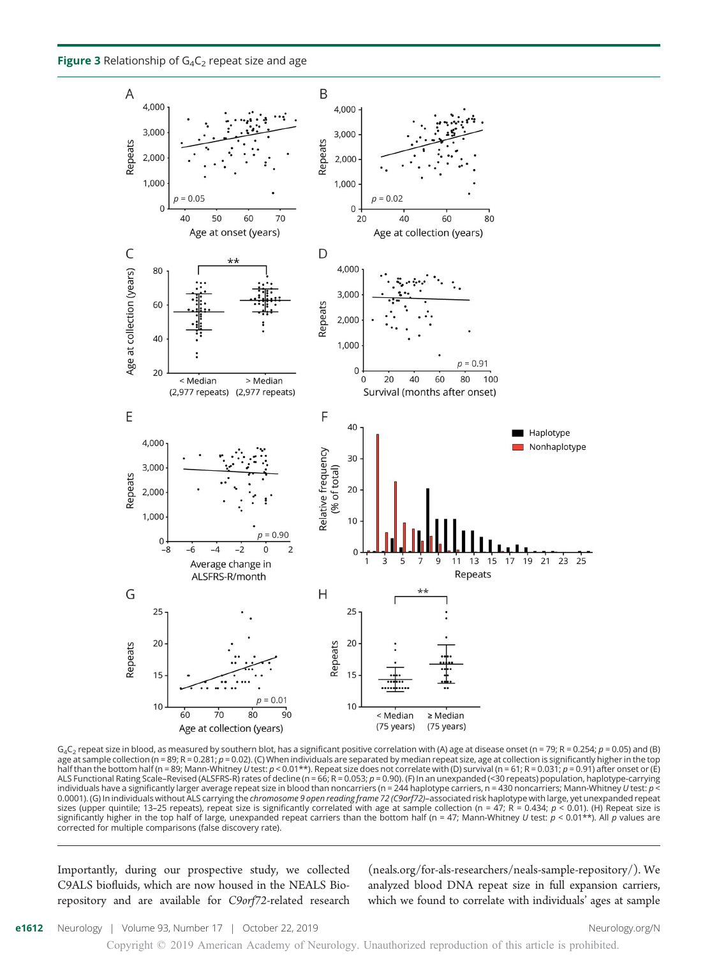Figure 3 Relationship of  $G_4C_2$  repeat size and age



 $G_4C_2$  repeat size in blood, as measured by southern blot, has a significant positive correlation with (A) age at disease onset (n = 79; R = 0.254; p = 0.05) and (B) age at sample collection (n = 89; R = 0.281;  $p = 0.02$ ). (C) When individuals are separated by median repeat size, age at collection is significantly higher in the top half than the bottom half (n = 89; Mann-Whitney U test: p < 0.01\*\*). Repeat size does not correlate with (D) survival (n = 61; R = 0.031; p = 0.91) after onset or (E) ALS Functional Rating Scale–Revised (ALSFRS-R) rates of decline (n = 66; R = 0.053; p = 0.90). (F) In an unexpanded (<30 repeats) population, haplotype-carrying individuals have a significantly larger average repeat size in blood than noncarriers (n = 244 haplotype carriers, n = 430 noncarriers; Mann-Whitney U test: p < 0.0001). (G) In individuals without ALS carrying the *chromosome 9 open reading frame 72 (C9orf72)–*associated risk haplotype with large, yet unexpanded repeat<br>sizes (upper quintile; 13–25 repeats), repeat size is signific significantly higher in the top half of large, unexpanded repeat carriers than the bottom half (n = 47; Mann-Whitney U test:  $p < 0.01**$ ). All p values are corrected for multiple comparisons (false discovery rate).

Importantly, during our prospective study, we collected C9ALS biofluids, which are now housed in the NEALS Biorepository and are available for C9orf72-related research [\(neals.org/for-als-researchers/neals-sample-repository/](https://www.neals.org/for-als-researchers/neals-sample-repository/)). We analyzed blood DNA repeat size in full expansion carriers, which we found to correlate with individuals' ages at sample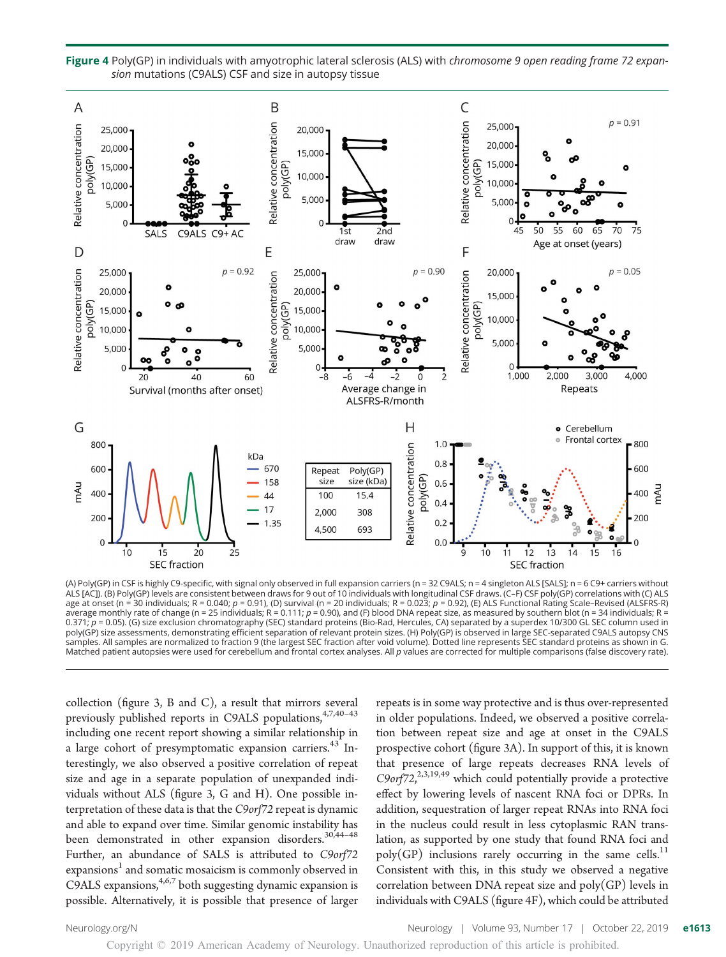

Figure 4 Poly(GP) in individuals with amyotrophic lateral sclerosis (ALS) with chromosome 9 open reading frame 72 expansion mutations (C9ALS) CSF and size in autopsy tissue

(A) Poly(GP) in CSF is highly C9-specific, with signal only observed in full expansion carriers (n = 32 C9ALS; n = 4 singleton ALS [SALS]; n = 6 C9+ carriers without ALS [AC]). (B) Poly(GP) levels are consistent between draws for 9 out of 10 individuals with longitudinal CSF draws. (C–F) CSF poly(GP) correlations with (C) ALS age at onset (n = 30 individuals; R = 0.040; p = 0.91), (D) survival (n = 20 individuals; R = 0.023; p = 0.92), (E) ALS Functional Rating Scale–Revised (ALSFRS-R) average monthly rate of change (n = 25 individuals; R = 0.111; p = 0.90), and (F) blood DNA repeat size, as measured by southern blot (n = 34 individuals; R = 0.371;  $p$  = 0.05). (G) size exclusion chromatography (SEC) standard proteins (Bio-Rad, Hercules, CA) separated by a superdex 10/300 GL SEC column used in poly(GP) size assessments, demonstrating efficient separation of relevant protein sizes. (H) Poly(GP) is observed in large SEC-separated C9ALS autopsy CNS samples. All samples are normalized to fraction 9 (the largest SEC fraction after void volume). Dotted line represents SEC standard proteins as shown in G. Matched patient autopsies were used for cerebellum and frontal cortex analyses. All p values are corrected for multiple comparisons (false discovery rate).

collection (figure 3, B and C), a result that mirrors several previously published reports in C9ALS populations,  $4,7,40-43$ including one recent report showing a similar relationship in a large cohort of presymptomatic expansion carriers.<sup>43</sup> Interestingly, we also observed a positive correlation of repeat size and age in a separate population of unexpanded individuals without ALS (figure 3, G and H). One possible interpretation of these data is that the C9orf72 repeat is dynamic and able to expand over time. Similar genomic instability has been demonstrated in other expansion disorders.<sup>30,44-48</sup> Further, an abundance of SALS is attributed to C9orf72 expansions<sup>1</sup> and somatic mosaicism is commonly observed in C9ALS expansions,  $4,6,7$  both suggesting dynamic expansion is possible. Alternatively, it is possible that presence of larger repeats is in some way protective and is thus over-represented in older populations. Indeed, we observed a positive correlation between repeat size and age at onset in the C9ALS prospective cohort (figure 3A). In support of this, it is known that presence of large repeats decreases RNA levels of C9orf72,<sup>2,3,19,49</sup> which could potentially provide a protective effect by lowering levels of nascent RNA foci or DPRs. In addition, sequestration of larger repeat RNAs into RNA foci in the nucleus could result in less cytoplasmic RAN translation, as supported by one study that found RNA foci and  $poly(GP)$  inclusions rarely occurring in the same cells.<sup>11</sup> Consistent with this, in this study we observed a negative correlation between DNA repeat size and  $poly(GP)$  levels in individuals with C9ALS (figure 4F), which could be attributed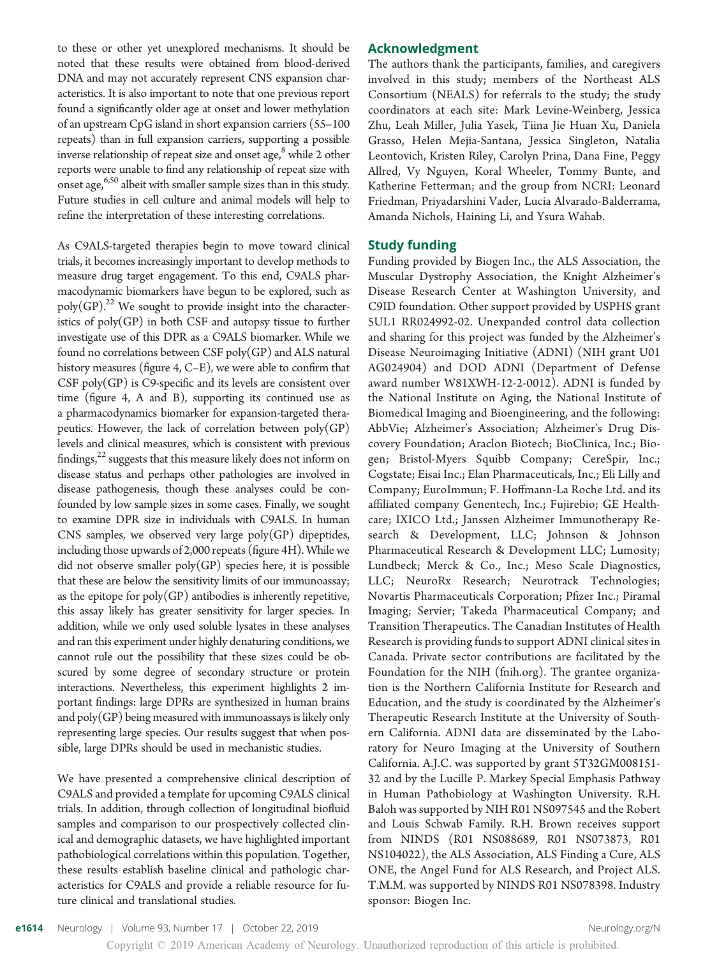to these or other yet unexplored mechanisms. It should be noted that these results were obtained from blood-derived DNA and may not accurately represent CNS expansion characteristics. It is also important to note that one previous report found a significantly older age at onset and lower methylation of an upstream CpG island in short expansion carriers (55–100 repeats) than in full expansion carriers, supporting a possible inverse relationship of repeat size and onset age,<sup>8</sup> while 2 other reports were unable to find any relationship of repeat size with onset age,  $6,50$  albeit with smaller sample sizes than in this study. Future studies in cell culture and animal models will help to refine the interpretation of these interesting correlations.

As C9ALS-targeted therapies begin to move toward clinical trials, it becomes increasingly important to develop methods to measure drug target engagement. To this end, C9ALS pharmacodynamic biomarkers have begun to be explored, such as poly(GP).<sup>22</sup> We sought to provide insight into the characteristics of poly(GP) in both CSF and autopsy tissue to further investigate use of this DPR as a C9ALS biomarker. While we found no correlations between  $CSF$  poly $(GP)$  and ALS natural history measures (figure 4, C–E), we were able to confirm that CSF poly(GP) is C9-specific and its levels are consistent over time (figure 4, A and B), supporting its continued use as a pharmacodynamics biomarker for expansion-targeted therapeutics. However, the lack of correlation between poly(GP) levels and clinical measures, which is consistent with previous findings, $22$  suggests that this measure likely does not inform on disease status and perhaps other pathologies are involved in disease pathogenesis, though these analyses could be confounded by low sample sizes in some cases. Finally, we sought to examine DPR size in individuals with C9ALS. In human CNS samples, we observed very large  $poly(GP)$  dipeptides, including those upwards of 2,000 repeats (figure 4H). While we did not observe smaller  $poly(GP)$  species here, it is possible that these are below the sensitivity limits of our immunoassay; as the epitope for  $poly(GP)$  antibodies is inherently repetitive, this assay likely has greater sensitivity for larger species. In addition, while we only used soluble lysates in these analyses and ran this experiment under highly denaturing conditions, we cannot rule out the possibility that these sizes could be obscured by some degree of secondary structure or protein interactions. Nevertheless, this experiment highlights 2 important findings: large DPRs are synthesized in human brains and  $poly(GP)$  being measured with immunoassays is likely only representing large species. Our results suggest that when possible, large DPRs should be used in mechanistic studies.

We have presented a comprehensive clinical description of C9ALS and provided a template for upcoming C9ALS clinical trials. In addition, through collection of longitudinal biofluid samples and comparison to our prospectively collected clinical and demographic datasets, we have highlighted important pathobiological correlations within this population. Together, these results establish baseline clinical and pathologic characteristics for C9ALS and provide a reliable resource for future clinical and translational studies.

#### Acknowledgment

The authors thank the participants, families, and caregivers involved in this study; members of the Northeast ALS Consortium (NEALS) for referrals to the study; the study coordinators at each site: Mark Levine-Weinberg, Jessica Zhu, Leah Miller, Julia Yasek, Tiina Jie Huan Xu, Daniela Grasso, Helen Mejia-Santana, Jessica Singleton, Natalia Leontovich, Kristen Riley, Carolyn Prina, Dana Fine, Peggy Allred, Vy Nguyen, Koral Wheeler, Tommy Bunte, and Katherine Fetterman; and the group from NCRI: Leonard Friedman, Priyadarshini Vader, Lucia Alvarado-Balderrama, Amanda Nichols, Haining Li, and Ysura Wahab.

#### Study funding

Funding provided by Biogen Inc., the ALS Association, the Muscular Dystrophy Association, the Knight Alzheimer's Disease Research Center at Washington University, and C9ID foundation. Other support provided by USPHS grant 5UL1 RR024992-02. Unexpanded control data collection and sharing for this project was funded by the Alzheimer's Disease Neuroimaging Initiative (ADNI) (NIH grant U01 AG024904) and DOD ADNI (Department of Defense award number W81XWH-12-2-0012). ADNI is funded by the National Institute on Aging, the National Institute of Biomedical Imaging and Bioengineering, and the following: AbbVie; Alzheimer's Association; Alzheimer's Drug Discovery Foundation; Araclon Biotech; BioClinica, Inc.; Biogen; Bristol-Myers Squibb Company; CereSpir, Inc.; Cogstate; Eisai Inc.; Elan Pharmaceuticals, Inc.; Eli Lilly and Company; EuroImmun; F. Hoffmann-La Roche Ltd. and its affiliated company Genentech, Inc.; Fujirebio; GE Healthcare; IXICO Ltd.; Janssen Alzheimer Immunotherapy Research & Development, LLC; Johnson & Johnson Pharmaceutical Research & Development LLC; Lumosity; Lundbeck; Merck & Co., Inc.; Meso Scale Diagnostics, LLC; NeuroRx Research; Neurotrack Technologies; Novartis Pharmaceuticals Corporation; Pfizer Inc.; Piramal Imaging; Servier; Takeda Pharmaceutical Company; and Transition Therapeutics. The Canadian Institutes of Health Research is providing funds to support ADNI clinical sites in Canada. Private sector contributions are facilitated by the Foundation for the NIH ([fnih.org\)](http://www.fnih.org). The grantee organization is the Northern California Institute for Research and Education, and the study is coordinated by the Alzheimer's Therapeutic Research Institute at the University of Southern California. ADNI data are disseminated by the Laboratory for Neuro Imaging at the University of Southern California. A.J.C. was supported by grant 5T32GM008151- 32 and by the Lucille P. Markey Special Emphasis Pathway in Human Pathobiology at Washington University. R.H. Baloh was supported by NIH R01 NS097545 and the Robert and Louis Schwab Family. R.H. Brown receives support from NINDS (R01 NS088689, R01 NS073873, R01 NS104022), the ALS Association, ALS Finding a Cure, ALS ONE, the Angel Fund for ALS Research, and Project ALS. T.M.M. was supported by NINDS R01 NS078398. Industry sponsor: Biogen Inc.

Copyright © 2019 American Academy of Neurology. Unauthorized reproduction of this article is prohibited.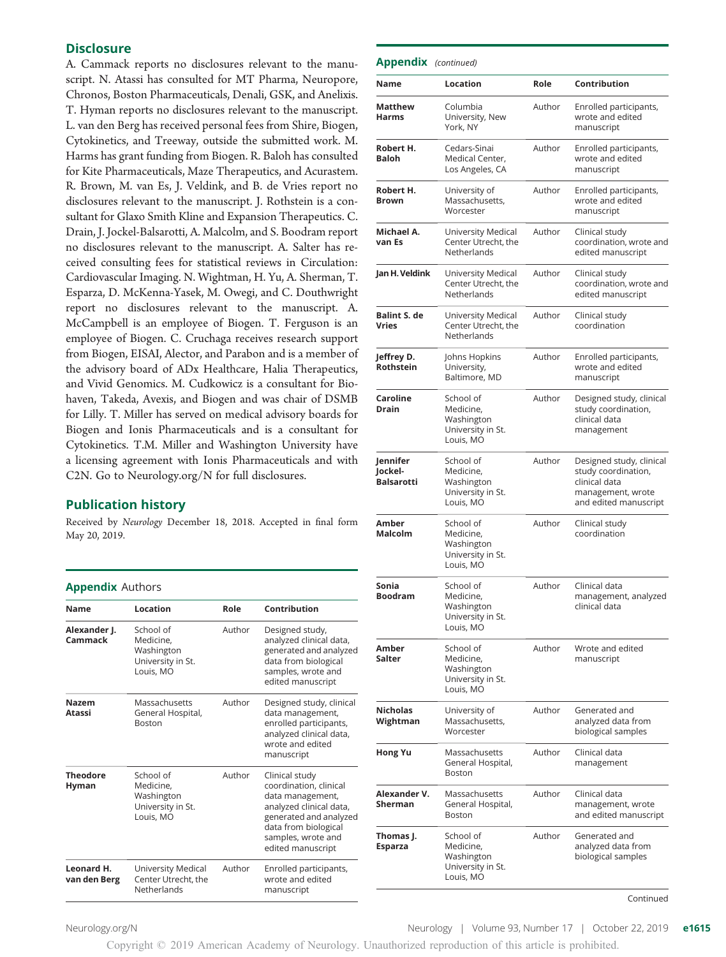#### **Disclosure**

A. Cammack reports no disclosures relevant to the manuscript. N. Atassi has consulted for MT Pharma, Neuropore, Chronos, Boston Pharmaceuticals, Denali, GSK, and Anelixis. T. Hyman reports no disclosures relevant to the manuscript. L. van den Berg has received personal fees from Shire, Biogen, Cytokinetics, and Treeway, outside the submitted work. M. Harms has grant funding from Biogen. R. Baloh has consulted for Kite Pharmaceuticals, Maze Therapeutics, and Acurastem. R. Brown, M. van Es, J. Veldink, and B. de Vries report no disclosures relevant to the manuscript. J. Rothstein is a consultant for Glaxo Smith Kline and Expansion Therapeutics. C. Drain, J. Jockel-Balsarotti, A. Malcolm, and S. Boodram report no disclosures relevant to the manuscript. A. Salter has received consulting fees for statistical reviews in Circulation: Cardiovascular Imaging. N. Wightman, H. Yu, A. Sherman, T. Esparza, D. McKenna-Yasek, M. Owegi, and C. Douthwright report no disclosures relevant to the manuscript. A. McCampbell is an employee of Biogen. T. Ferguson is an employee of Biogen. C. Cruchaga receives research support from Biogen, EISAI, Alector, and Parabon and is a member of the advisory board of ADx Healthcare, Halia Therapeutics, and Vivid Genomics. M. Cudkowicz is a consultant for Biohaven, Takeda, Avexis, and Biogen and was chair of DSMB for Lilly. T. Miller has served on medical advisory boards for Biogen and Ionis Pharmaceuticals and is a consultant for Cytokinetics. T.M. Miller and Washington University have a licensing agreement with Ionis Pharmaceuticals and with C2N. Go to [Neurology.org/N](https://n.neurology.org/lookup/doi/10.1212/WNL.0000000000008359) for full disclosures.

#### Publication history

Received by Neurology December 18, 2018. Accepted in final form May 20, 2019.

#### Appendix Authors

| <b>Name</b>                | Location                                                               | Role   | Contribution                                                                                                                                                                         |  |
|----------------------------|------------------------------------------------------------------------|--------|--------------------------------------------------------------------------------------------------------------------------------------------------------------------------------------|--|
| Alexander J.<br>Cammack    | School of<br>Medicine.<br>Washington<br>University in St.<br>Louis, MO | Author | Designed study,<br>analyzed clinical data,<br>generated and analyzed<br>data from biological<br>samples, wrote and<br>edited manuscript                                              |  |
| <b>Nazem</b><br>Atassi     | Massachusetts<br>General Hospital,<br><b>Boston</b>                    | Author | Designed study, clinical<br>data management,<br>enrolled participants,<br>analyzed clinical data,<br>wrote and edited<br>manuscript                                                  |  |
| <b>Theodore</b><br>Hyman   | School of<br>Medicine.<br>Washington<br>University in St.<br>Louis, MO | Author | Clinical study<br>coordination, clinical<br>data management,<br>analyzed clinical data,<br>generated and analyzed<br>data from biological<br>samples, wrote and<br>edited manuscript |  |
| Leonard H.<br>van den Berg | University Medical<br>Center Utrecht, the<br>Netherlands               | Author | Enrolled participants,<br>wrote and edited<br>manuscript                                                                                                                             |  |

| <b>Appendix</b> (continued)              |                                                                        |        |                                                                                                                |
|------------------------------------------|------------------------------------------------------------------------|--------|----------------------------------------------------------------------------------------------------------------|
| Name                                     | Location                                                               | Role   | Contribution                                                                                                   |
| <b>Matthew</b><br><b>Harms</b>           | Columbia<br>University, New<br>York, NY                                | Author | Enrolled participants,<br>wrote and edited<br>manuscript                                                       |
| Robert H.<br>Baloh                       | Cedars-Sinai<br>Medical Center,<br>Los Angeles, CA                     | Author | Enrolled participants,<br>wrote and edited<br>manuscript                                                       |
| Robert H.<br><b>Brown</b>                | University of<br>Massachusetts,<br>Worcester                           | Author | Enrolled participants,<br>wrote and edited<br>manuscript                                                       |
| Michael A.<br>van Es                     | University Medical<br>Center Utrecht, the<br>Netherlands               | Author | Clinical study<br>coordination, wrote and<br>edited manuscript                                                 |
| Jan H. Veldink                           | University Medical<br>Center Utrecht, the<br>Netherlands               | Author | Clinical study<br>coordination, wrote and<br>edited manuscript                                                 |
| <b>Balint S. de</b><br><b>Vries</b>      | University Medical<br>Center Utrecht, the<br>Netherlands               | Author | Clinical study<br>coordination                                                                                 |
| Jeffrey D.<br><b>Rothstein</b>           | Johns Hopkins<br>University,<br>Baltimore, MD                          | Author | Enrolled participants,<br>wrote and edited<br>manuscript                                                       |
| Caroline<br><b>Drain</b>                 | School of<br>Medicine,<br>Washington<br>University in St.<br>Louis, MO | Author | Designed study, clinical<br>study coordination,<br>clinical data<br>management                                 |
| Jennifer<br>Jockel-<br><b>Balsarotti</b> | School of<br>Medicine,<br>Washington<br>University in St.<br>Louis, MO | Author | Designed study, clinical<br>study coordination,<br>clinical data<br>management, wrote<br>and edited manuscript |
| Amber<br><b>Malcolm</b>                  | School of<br>Medicine.<br>Washington<br>University in St.<br>Louis, MO | Author | Clinical study<br>coordination                                                                                 |
| Sonia<br><b>Boodram</b>                  | School of<br>Medicine,<br>Washington<br>University in St.<br>Louis, MO | Author | Clinical data<br>management, analyzed<br>clinical data                                                         |
| Amber<br>Salter                          | School of<br>Medicine,<br>Washington<br>University in St.<br>Louis, MO | Author | Wrote and edited<br>manuscript                                                                                 |
| <b>Nicholas</b><br>Wightman              | University of<br>Massachusetts,<br>Worcester                           | Author | Generated and<br>analyzed data from<br>biological samples                                                      |
| <b>Hong Yu</b>                           | Massachusetts<br>General Hospital,<br><b>Boston</b>                    | Author | Clinical data<br>management                                                                                    |
| Alexander V.<br><b>Sherman</b>           | Massachusetts<br>General Hospital,<br>Boston                           | Author | Clinical data<br>management, wrote<br>and edited manuscript                                                    |
| Thomas J.<br><b>Esparza</b>              | School of<br>Medicine,<br>Washington<br>University in St.<br>Louis, MO | Author | Generated and<br>analyzed data from<br>biological samples                                                      |

Appendix (continued)

Continued

[Neurology.org/N](http://neurology.org/n) **Neurology | Volume 93, Number 17 | October 22, 2019 e1615**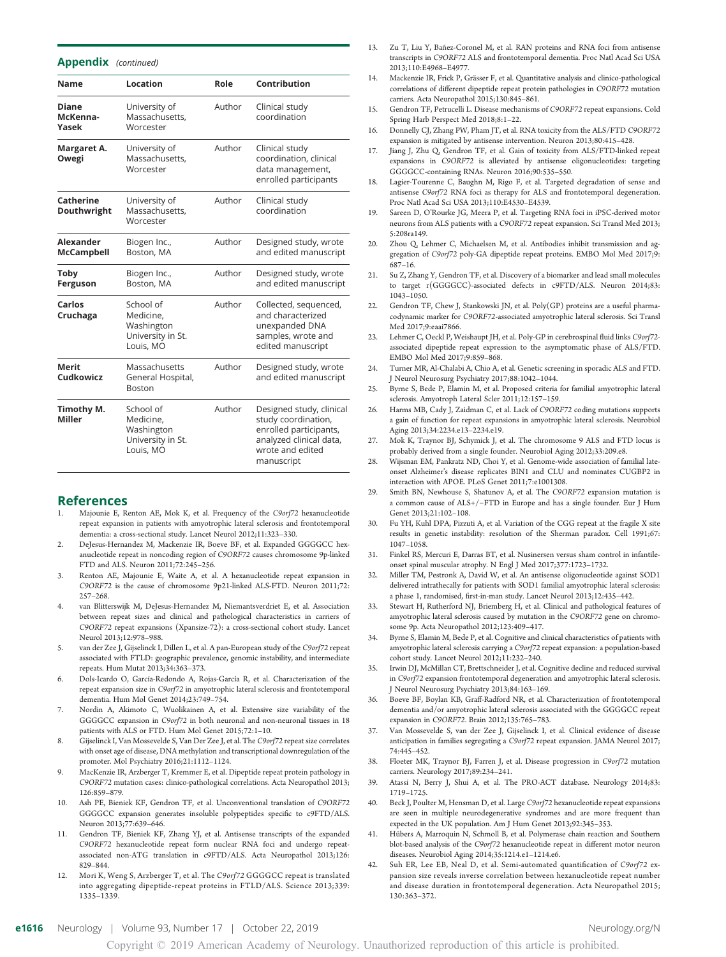#### Appendix (continued)

| <b>Name</b>                           | Location                                                               | Role   | Contribution                                                                                                                           |
|---------------------------------------|------------------------------------------------------------------------|--------|----------------------------------------------------------------------------------------------------------------------------------------|
| Diane<br>McKenna-<br>Yasek            | University of<br>Massachusetts,<br>Worcester                           | Author | Clinical study<br>coordination                                                                                                         |
| Margaret A.<br>Owegi                  | University of<br>Massachusetts,<br>Worcester                           | Author | Clinical study<br>coordination, clinical<br>data management,<br>enrolled participants                                                  |
| Catherine<br>Douthwright              | University of<br>Massachusetts,<br>Worcester                           | Author | Clinical study<br>coordination                                                                                                         |
| <b>Alexander</b><br><b>McCampbell</b> | Biogen Inc.,<br>Boston, MA                                             | Author | Designed study, wrote<br>and edited manuscript                                                                                         |
| Toby<br>Ferguson                      | Biogen Inc.,<br>Boston, MA                                             | Author | Designed study, wrote<br>and edited manuscript                                                                                         |
| Carlos<br>Cruchaga                    | School of<br>Medicine.<br>Washington<br>University in St.<br>Louis, MO | Author | Collected, sequenced,<br>and characterized<br>unexpanded DNA<br>samples, wrote and<br>edited manuscript                                |
| <b>Merit</b><br>Cudkowicz             | Massachusetts<br>General Hospital,<br><b>Boston</b>                    | Author | Designed study, wrote<br>and edited manuscript                                                                                         |
| Timothy M.<br><b>Miller</b>           | School of<br>Medicine,<br>Washington<br>University in St.<br>Louis, MO | Author | Designed study, clinical<br>study coordination,<br>enrolled participants,<br>analyzed clinical data,<br>wrote and edited<br>manuscript |

#### References

- Majounie E, Renton AE, Mok K, et al. Frequency of the C9orf72 hexanucleotide repeat expansion in patients with amyotrophic lateral sclerosis and frontotemporal dementia: a cross-sectional study. Lancet Neurol 2012;11:323–330.
- 2. DeJesus-Hernandez M, Mackenzie IR, Boeve BF, et al. Expanded GGGGCC hexanucleotide repeat in noncoding region of C9ORF72 causes chromosome 9p-linked FTD and ALS. Neuron 2011;72:245–256.
- 3. Renton AE, Majounie E, Waite A, et al. A hexanucleotide repeat expansion in C9ORF72 is the cause of chromosome 9p21-linked ALS-FTD. Neuron 2011;72: 257–268.
- van Blitterswijk M, DeJesus-Hernandez M, Niemantsverdriet E, et al. Association between repeat sizes and clinical and pathological characteristics in carriers of C9ORF72 repeat expansions (Xpansize-72): a cross-sectional cohort study. Lancet Neurol 2013;12:978–988.
- 5. van der Zee J, Gijselinck I, Dillen L, et al. A pan-European study of the C9orf72 repeat associated with FTLD: geographic prevalence, genomic instability, and intermediate repeats. Hum Mutat 2013;34:363–373.
- 6. Dols-Icardo O, García-Redondo A, Rojas-García R, et al. Characterization of the repeat expansion size in C9orf72 in amyotrophic lateral sclerosis and frontotemporal dementia. Hum Mol Genet 2014;23:749–754.
- 7. Nordin A, Akimoto C, Wuolikainen A, et al. Extensive size variability of the GGGGCC expansion in C9orf72 in both neuronal and non-neuronal tissues in 18 patients with ALS or FTD. Hum Mol Genet 2015;72:1–10.
- 8. Gijselinck I, Van Mossevelde S, Van Der Zee J, et al. The C9orf72 repeat size correlates with onset age of disease, DNA methylation and transcriptional downregulation of the promoter. Mol Psychiatry 2016;21:1112–1124.
- MacKenzie IR, Arzberger T, Kremmer E, et al. Dipeptide repeat protein pathology in C9ORF72 mutation cases: clinico-pathological correlations. Acta Neuropathol 2013; 126:859–879.
- 10. Ash PE, Bieniek KF, Gendron TF, et al. Unconventional translation of C9ORF72 GGGGCC expansion generates insoluble polypeptides specific to c9FTD/ALS. Neuron 2013;77:639–646.
- 11. Gendron TF, Bieniek KF, Zhang YJ, et al. Antisense transcripts of the expanded C9ORF72 hexanucleotide repeat form nuclear RNA foci and undergo repeatassociated non-ATG translation in c9FTD/ALS. Acta Neuropathol 2013;126: 829–844.
- 12. Mori K, Weng S, Arzberger T, et al. The C9orf72 GGGGCC repeat is translated into aggregating dipeptide-repeat proteins in FTLD/ALS. Science 2013;339: 1335–1339.
- 13. Zu T, Liu Y, Bañez-Coronel M, et al. RAN proteins and RNA foci from antisense transcripts in C9ORF72 ALS and frontotemporal dementia. Proc Natl Acad Sci USA 2013;110:E4968–E4977.
- 14. Mackenzie IR, Frick P, Grässer F, et al. Quantitative analysis and clinico-pathological correlations of different dipeptide repeat protein pathologies in C9ORF72 mutation carriers. Acta Neuropathol 2015;130:845–861.
- 15. Gendron TF, Petrucelli L. Disease mechanisms of C9ORF72 repeat expansions. Cold Spring Harb Perspect Med 2018;8:1–22.
- 16. Donnelly CJ, Zhang PW, Pham JT, et al. RNA toxicity from the ALS/FTD C9ORF72 expansion is mitigated by antisense intervention. Neuron 2013;80:415–428.
- 17. Jiang J, Zhu Q, Gendron TF, et al. Gain of toxicity from ALS/FTD-linked repeat expansions in C9ORF72 is alleviated by antisense oligonucleotides: targeting GGGGCC-containing RNAs. Neuron 2016;90:535–550.
- 18. Lagier-Tourenne C, Baughn M, Rigo F, et al. Targeted degradation of sense and antisense C9orf72 RNA foci as therapy for ALS and frontotemporal degeneration. Proc Natl Acad Sci USA 2013;110:E4530–E4539.
- 19. Sareen D, O'Rourke JG, Meera P, et al. Targeting RNA foci in iPSC-derived motor neurons from ALS patients with a C9ORF72 repeat expansion. Sci Transl Med 2013; 5:208ra149.
- 20. Zhou Q, Lehmer C, Michaelsen M, et al. Antibodies inhibit transmission and aggregation of C9orf72 poly-GA dipeptide repeat proteins. EMBO Mol Med 2017;9: 687–16.
- 21. Su Z, Zhang Y, Gendron TF, et al. Discovery of a biomarker and lead small molecules to target r(GGGGCC)-associated defects in c9FTD/ALS. Neuron 2014;83: 1043–1050.
- 22. Gendron TF, Chew J, Stankowski JN, et al. Poly(GP) proteins are a useful pharmacodynamic marker for C9ORF72-associated amyotrophic lateral sclerosis. Sci Transl Med 2017;9:eaai7866.
- Lehmer C, Oeckl P, Weishaupt JH, et al. Poly-GP in cerebrospinal fluid links C9orf72associated dipeptide repeat expression to the asymptomatic phase of ALS/FTD. EMBO Mol Med 2017;9:859–868.
- 24. Turner MR, Al-Chalabi A, Chio A, et al. Genetic screening in sporadic ALS and FTD. J Neurol Neurosurg Psychiatry 2017;88:1042–1044.
- 25. Byrne S, Bede P, Elamin M, et al. Proposed criteria for familial amyotrophic lateral sclerosis. Amyotroph Lateral Scler 2011;12:157–159.
- 26. Harms MB, Cady J, Zaidman C, et al. Lack of C9ORF72 coding mutations supports a gain of function for repeat expansions in amyotrophic lateral sclerosis. Neurobiol Aging 2013;34:2234.e13–2234.e19.
- 27. Mok K, Traynor BJ, Schymick J, et al. The chromosome 9 ALS and FTD locus is probably derived from a single founder. Neurobiol Aging 2012;33:209.e8.
- 28. Wijsman EM, Pankratz ND, Choi Y, et al. Genome-wide association of familial lateonset Alzheimer's disease replicates BIN1 and CLU and nominates CUGBP2 in interaction with APOE. PLoS Genet 2011;7:e1001308.
- 29. Smith BN, Newhouse S, Shatunov A, et al. The C9ORF72 expansion mutation is a common cause of ALS+/−FTD in Europe and has a single founder. Eur J Hum Genet 2013;21:102–108.
- 30. Fu YH, Kuhl DPA, Pizzuti A, et al. Variation of the CGG repeat at the fragile X site results in genetic instability: resolution of the Sherman paradox. Cell 1991;67: 1047–1058.
- 31. Finkel RS, Mercuri E, Darras BT, et al. Nusinersen versus sham control in infantileonset spinal muscular atrophy. N Engl J Med 2017;377:1723–1732.
- 32. Miller TM, Pestronk A, David W, et al. An antisense oligonucleotide against SOD1 delivered intrathecally for patients with SOD1 familial amyotrophic lateral sclerosis: a phase 1, randomised, first-in-man study. Lancet Neurol 2013;12:435–442.
- 33. Stewart H, Rutherford NJ, Briemberg H, et al. Clinical and pathological features of amyotrophic lateral sclerosis caused by mutation in the C9ORF72 gene on chromosome 9p. Acta Neuropathol 2012;123:409–417.
- Byrne S, Elamin M, Bede P, et al. Cognitive and clinical characteristics of patients with amyotrophic lateral sclerosis carrying a C9orf72 repeat expansion: a population-based cohort study. Lancet Neurol 2012;11:232–240.
- 35. Irwin DJ, McMillan CT, Brettschneider J, et al. Cognitive decline and reduced survival in C9orf72 expansion frontotemporal degeneration and amyotrophic lateral sclerosis. J Neurol Neurosurg Psychiatry 2013;84:163–169.
- 36. Boeve BF, Boylan KB, Graff-Radford NR, et al. Characterization of frontotemporal dementia and/or amyotrophic lateral sclerosis associated with the GGGGCC repeat expansion in C9ORF72. Brain 2012;135:765–783.
- 37. Van Mossevelde S, van der Zee J, Gijselinck I, et al. Clinical evidence of disease anticipation in families segregating a C9orf72 repeat expansion. JAMA Neurol 2017; 74:445–452.
- 38. Floeter MK, Traynor BJ, Farren J, et al. Disease progression in C9orf72 mutation carriers. Neurology 2017;89:234–241.
- 39. Atassi N, Berry J, Shui A, et al. The PRO-ACT database. Neurology 2014;83: 1719–1725.
- 40. Beck J, Poulter M, Hensman D, et al. Large C9orf72 hexanucleotide repeat expansions are seen in multiple neurodegenerative syndromes and are more frequent than expected in the UK population. Am J Hum Genet 2013;92:345–353.
- 41. Hübers A, Marroquin N, Schmoll B, et al. Polymerase chain reaction and Southern blot-based analysis of the C9orf72 hexanucleotide repeat in different motor neuron diseases. Neurobiol Aging 2014;35:1214.e1–1214.e6.
- 42. Suh ER, Lee EB, Neal D, et al. Semi-automated quantification of C9orf72 expansion size reveals inverse correlation between hexanucleotide repeat number and disease duration in frontotemporal degeneration. Acta Neuropathol 2015; 130:363–372.